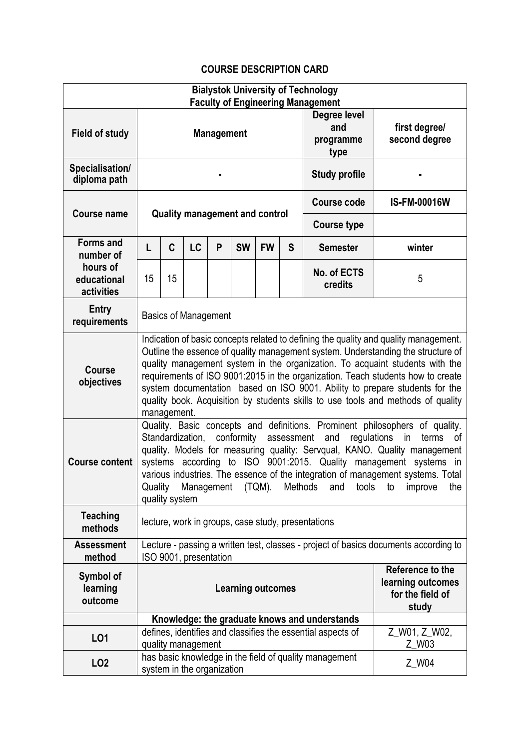## **COURSE DESCRIPTION CARD**

| <b>Bialystok University of Technology</b>              |                                                                                                                                                                                                                                                                                                                                                                                                                                                                                                                               |    |    |                        |           |                    |                                                                    |                                               |               |  |
|--------------------------------------------------------|-------------------------------------------------------------------------------------------------------------------------------------------------------------------------------------------------------------------------------------------------------------------------------------------------------------------------------------------------------------------------------------------------------------------------------------------------------------------------------------------------------------------------------|----|----|------------------------|-----------|--------------------|--------------------------------------------------------------------|-----------------------------------------------|---------------|--|
|                                                        | <b>Faculty of Engineering Management</b>                                                                                                                                                                                                                                                                                                                                                                                                                                                                                      |    |    |                        |           |                    |                                                                    |                                               |               |  |
|                                                        | <b>Management</b>                                                                                                                                                                                                                                                                                                                                                                                                                                                                                                             |    |    |                        |           |                    |                                                                    | Degree level<br>and                           | first degree/ |  |
| <b>Field of study</b>                                  |                                                                                                                                                                                                                                                                                                                                                                                                                                                                                                                               |    |    |                        |           |                    |                                                                    | programme                                     | second degree |  |
|                                                        |                                                                                                                                                                                                                                                                                                                                                                                                                                                                                                                               |    |    |                        |           |                    |                                                                    | type                                          |               |  |
| Specialisation/<br>diploma path                        |                                                                                                                                                                                                                                                                                                                                                                                                                                                                                                                               |    |    |                        |           |                    | <b>Study profile</b>                                               |                                               |               |  |
| <b>Course name</b>                                     | <b>Quality management and control</b>                                                                                                                                                                                                                                                                                                                                                                                                                                                                                         |    |    |                        |           | <b>Course code</b> | <b>IS-FM-00016W</b>                                                |                                               |               |  |
|                                                        |                                                                                                                                                                                                                                                                                                                                                                                                                                                                                                                               |    |    |                        |           |                    | <b>Course type</b>                                                 |                                               |               |  |
| <b>Forms and</b><br>number of                          | L                                                                                                                                                                                                                                                                                                                                                                                                                                                                                                                             | C  | LC | P                      | <b>SW</b> | <b>FW</b>          | S                                                                  | <b>Semester</b>                               | winter        |  |
| hours of<br>educational<br>activities                  | 15                                                                                                                                                                                                                                                                                                                                                                                                                                                                                                                            | 15 |    |                        |           |                    |                                                                    | No. of ECTS<br>credits                        | 5             |  |
| <b>Entry</b><br>requirements                           | <b>Basics of Management</b>                                                                                                                                                                                                                                                                                                                                                                                                                                                                                                   |    |    |                        |           |                    |                                                                    |                                               |               |  |
| <b>Course</b><br>objectives                            | Indication of basic concepts related to defining the quality and quality management.<br>Outline the essence of quality management system. Understanding the structure of<br>quality management system in the organization. To acquaint students with the<br>requirements of ISO 9001:2015 in the organization. Teach students how to create<br>system documentation based on ISO 9001. Ability to prepare students for the<br>quality book. Acquisition by students skills to use tools and methods of quality<br>management. |    |    |                        |           |                    |                                                                    |                                               |               |  |
| <b>Course content</b>                                  | Quality. Basic concepts and definitions. Prominent philosophers of quality.<br>Standardization, conformity<br>assessment<br>regulations<br>and<br>terms<br>in<br>0f<br>quality. Models for measuring quality: Servqual, KANO. Quality management<br>systems according to ISO 9001:2015. Quality management systems in<br>various industries. The essence of the integration of management systems. Total<br>Quality<br>Management<br>(TQM).<br>Methods<br>and<br>tools<br>the<br>to<br>improve<br>quality system              |    |    |                        |           |                    |                                                                    |                                               |               |  |
| <b>Teaching</b><br>methods                             | lecture, work in groups, case study, presentations                                                                                                                                                                                                                                                                                                                                                                                                                                                                            |    |    |                        |           |                    |                                                                    |                                               |               |  |
| <b>Assessment</b><br>method                            | Lecture - passing a written test, classes - project of basics documents according to<br>ISO 9001, presentation                                                                                                                                                                                                                                                                                                                                                                                                                |    |    |                        |           |                    |                                                                    |                                               |               |  |
| Symbol of<br>learning<br>outcome                       | <b>Learning outcomes</b>                                                                                                                                                                                                                                                                                                                                                                                                                                                                                                      |    |    |                        |           |                    | Reference to the<br>learning outcomes<br>for the field of<br>study |                                               |               |  |
|                                                        |                                                                                                                                                                                                                                                                                                                                                                                                                                                                                                                               |    |    |                        |           |                    |                                                                    | Knowledge: the graduate knows and understands |               |  |
| LO1                                                    | defines, identifies and classifies the essential aspects of<br>quality management                                                                                                                                                                                                                                                                                                                                                                                                                                             |    |    | Z_W01, Z_W02,<br>Z_W03 |           |                    |                                                                    |                                               |               |  |
| has basic knowledge in the field of quality management |                                                                                                                                                                                                                                                                                                                                                                                                                                                                                                                               |    |    |                        |           |                    |                                                                    |                                               |               |  |
| LO <sub>2</sub>                                        | system in the organization                                                                                                                                                                                                                                                                                                                                                                                                                                                                                                    |    |    |                        |           |                    |                                                                    |                                               | Z_W04         |  |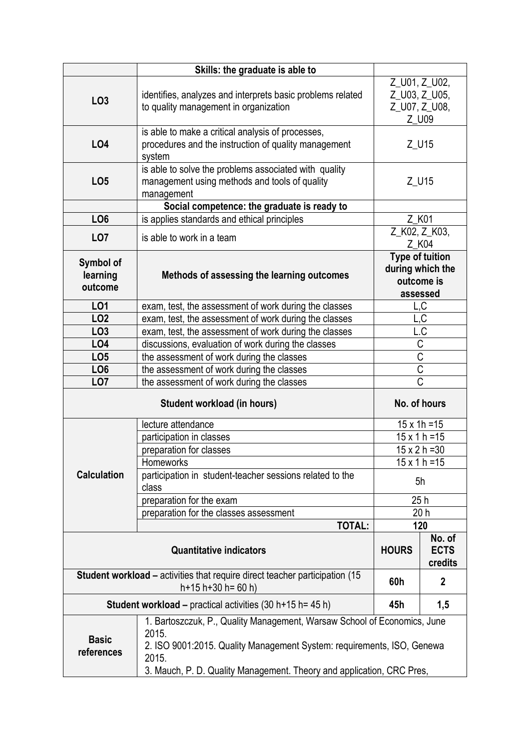|                                                                                     | Skills: the graduate is able to                                                                                                                                                                                                               |                                                                      |     |  |  |  |  |
|-------------------------------------------------------------------------------------|-----------------------------------------------------------------------------------------------------------------------------------------------------------------------------------------------------------------------------------------------|----------------------------------------------------------------------|-----|--|--|--|--|
| LO <sub>3</sub>                                                                     | identifies, analyzes and interprets basic problems related<br>to quality management in organization                                                                                                                                           | Z_U01, Z_U02,<br>Z_U03, Z_U05,<br>Z_U07, Z_U08,<br>Z_U09             |     |  |  |  |  |
| <b>LO4</b>                                                                          | is able to make a critical analysis of processes,<br>procedures and the instruction of quality management<br>system                                                                                                                           | Z_U15                                                                |     |  |  |  |  |
| LO <sub>5</sub>                                                                     | is able to solve the problems associated with quality<br>management using methods and tools of quality<br>management                                                                                                                          | Z_U15                                                                |     |  |  |  |  |
|                                                                                     | Social competence: the graduate is ready to                                                                                                                                                                                                   |                                                                      |     |  |  |  |  |
| LO <sub>6</sub>                                                                     | is applies standards and ethical principles                                                                                                                                                                                                   | Z K01                                                                |     |  |  |  |  |
| LO <sub>7</sub>                                                                     | is able to work in a team                                                                                                                                                                                                                     | Z_K02, Z_K03,<br>Z_K04                                               |     |  |  |  |  |
| Symbol of<br>learning<br>outcome                                                    | Methods of assessing the learning outcomes                                                                                                                                                                                                    | <b>Type of tuition</b><br>during which the<br>outcome is<br>assessed |     |  |  |  |  |
| <b>LO1</b>                                                                          | exam, test, the assessment of work during the classes                                                                                                                                                                                         |                                                                      | L,C |  |  |  |  |
| LO <sub>2</sub>                                                                     | exam, test, the assessment of work during the classes<br>-,C                                                                                                                                                                                  |                                                                      |     |  |  |  |  |
| LO <sub>3</sub>                                                                     | exam, test, the assessment of work during the classes                                                                                                                                                                                         | L.C                                                                  |     |  |  |  |  |
| LO <sub>4</sub>                                                                     | discussions, evaluation of work during the classes                                                                                                                                                                                            | C                                                                    |     |  |  |  |  |
| LO <sub>5</sub>                                                                     | the assessment of work during the classes                                                                                                                                                                                                     | $\overline{C}$                                                       |     |  |  |  |  |
| LO <sub>6</sub>                                                                     | the assessment of work during the classes                                                                                                                                                                                                     | $\overline{C}$                                                       |     |  |  |  |  |
| LO <sub>7</sub>                                                                     | the assessment of work during the classes                                                                                                                                                                                                     | $\overline{\text{C}}$                                                |     |  |  |  |  |
|                                                                                     | No. of hours                                                                                                                                                                                                                                  |                                                                      |     |  |  |  |  |
|                                                                                     | lecture attendance                                                                                                                                                                                                                            | $15 \times 1h = 15$                                                  |     |  |  |  |  |
|                                                                                     | participation in classes                                                                                                                                                                                                                      | $15 \times 1 h = 15$                                                 |     |  |  |  |  |
| <b>Calculation</b>                                                                  | preparation for classes                                                                                                                                                                                                                       | $15 \times 2 h = 30$                                                 |     |  |  |  |  |
|                                                                                     | Homeworks                                                                                                                                                                                                                                     | $15 \times 1 h = 15$                                                 |     |  |  |  |  |
|                                                                                     | participation in student-teacher sessions related to the<br>class                                                                                                                                                                             | 5h                                                                   |     |  |  |  |  |
|                                                                                     | preparation for the exam                                                                                                                                                                                                                      | 25h                                                                  |     |  |  |  |  |
|                                                                                     | preparation for the classes assessment                                                                                                                                                                                                        | 20 <sub>h</sub>                                                      |     |  |  |  |  |
|                                                                                     | <b>TOTAL:</b>                                                                                                                                                                                                                                 | 120                                                                  |     |  |  |  |  |
|                                                                                     | <b>HOURS</b>                                                                                                                                                                                                                                  | No. of<br><b>ECTS</b><br>credits                                     |     |  |  |  |  |
| <b>Student workload – activities that require direct teacher participation (15)</b> | 60h                                                                                                                                                                                                                                           | $\mathbf{2}$                                                         |     |  |  |  |  |
| <b>Student workload – practical activities (30 h+15 h= 45 h)</b>                    | 45h                                                                                                                                                                                                                                           | 1,5                                                                  |     |  |  |  |  |
| <b>Basic</b><br>references                                                          | 1. Bartoszczuk, P., Quality Management, Warsaw School of Economics, June<br>2015.<br>2. ISO 9001:2015. Quality Management System: requirements, ISO, Genewa<br>2015.<br>3. Mauch, P. D. Quality Management. Theory and application, CRC Pres, |                                                                      |     |  |  |  |  |